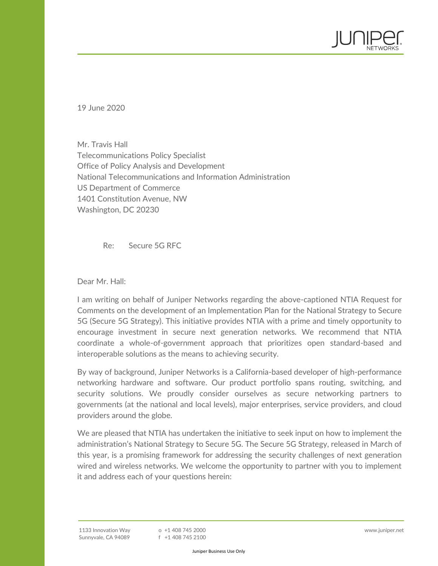Mr. Travis Hall Telecommunications Policy Specialist Office of Policy Analysis and Development National Telecommunications and Information Administration US Department of Commerce 1401 Constitution Avenue, NW Washington, DC 20230

Re: Secure 5G RFC

Dear Mr. Hall:

19 June 2020

I am writing on behalf of Juniper Networks regarding the above-captioned NTIA Request for Comments on the development of an Implementation Plan for the National Strategy to Secure 5G (Secure 5G Strategy). This initiative provides NTIA with a prime and timely opportunity to encourage investment in secure next generation networks. We recommend that NTIA coordinate a whole-of-government approach that prioritizes open standard-based and interoperable solutions as the means to achieving security.

By way of background, Juniper Networks is a California-based developer of high-performance networking hardware and software. Our product portfolio spans routing, switching, and security solutions. We proudly consider ourselves as secure networking partners to governments (at the national and local levels), major enterprises, service providers, and cloud providers around the globe.

We are pleased that NTIA has undertaken the initiative to seek input on how to implement the administration's National Strategy to Secure 5G. The Secure 5G Strategy, released in March of this year, is a promising framework for addressing the security challenges of next generation wired and wireless networks. We welcome the opportunity to partner with you to implement it and address each of your questions herein: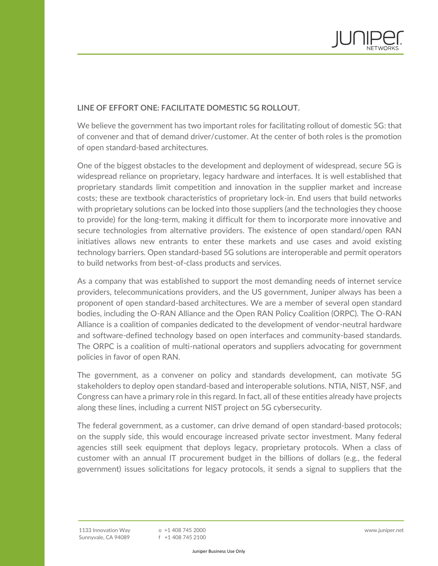

## **LINE OF EFFORT ONE: FACILITATE DOMESTIC 5G ROLLOUT.**

We believe the government has two important roles for facilitating rollout of domestic 5G: that of convener and that of demand driver/customer. At the center of both roles is the promotion of open standard-based architectures.

One of the biggest obstacles to the development and deployment of widespread, secure 5G is widespread reliance on proprietary, legacy hardware and interfaces. It is well established that proprietary standards limit competition and innovation in the supplier market and increase costs; these are textbook characteristics of proprietary lock-in. End users that build networks with proprietary solutions can be locked into those suppliers (and the technologies they choose to provide) for the long-term, making it difficult for them to incorporate more innovative and secure technologies from alternative providers. The existence of open standard/open RAN initiatives allows new entrants to enter these markets and use cases and avoid existing technology barriers. Open standard-based 5G solutions are interoperable and permit operators to build networks from best-of-class products and services.

As a company that was established to support the most demanding needs of internet service providers, telecommunications providers, and the US government, Juniper always has been a proponent of open standard-based architectures. We are a member of several open standard bodies, including the O-RAN Alliance and the Open RAN Policy Coalition (ORPC). The O-RAN Alliance is a coalition of companies dedicated to the development of vendor-neutral hardware and software-defined technology based on open interfaces and community-based standards. The ORPC is a coalition of multi-national operators and suppliers advocating for government policies in favor of open RAN.

The government, as a convener on policy and standards development, can motivate 5G stakeholders to deploy open standard-based and interoperable solutions. NTIA, NIST, NSF, and Congress can have a primary role in this regard. In fact, all of these entities already have projects along these lines, including a current NIST project on 5G cybersecurity.

The federal government, as a customer, can drive demand of open standard-based protocols; on the supply side, this would encourage increased private sector investment. Many federal agencies still seek equipment that deploys legacy, proprietary protocols. When a class of customer with an annual IT procurement budget in the billions of dollars (e.g., the federal government) issues solicitations for legacy protocols, it sends a signal to suppliers that the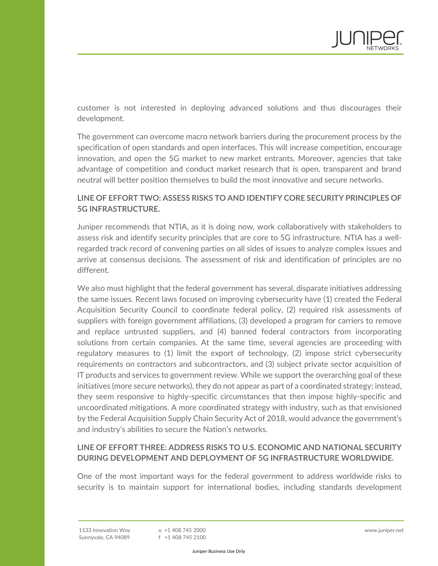

customer is not interested in deploying advanced solutions and thus discourages their development.

The government can overcome macro network barriers during the procurement process by the specification of open standards and open interfaces. This will increase competition, encourage innovation, and open the 5G market to new market entrants. Moreover, agencies that take advantage of competition and conduct market research that is open, transparent and brand neutral will better position themselves to build the most innovative and secure networks.

## **LINE OF EFFORT TWO: ASSESS RISKS TO AND IDENTIFY CORE SECURITY PRINCIPLES OF 5G INFRASTRUCTURE.**

Juniper recommends that NTIA, as it is doing now, work collaboratively with stakeholders to assess risk and identify security principles that are core to 5G infrastructure. NTIA has a wellregarded track record of convening parties on all sides of issues to analyze complex issues and arrive at consensus decisions. The assessment of risk and identification of principles are no different.

We also must highlight that the federal government has several, disparate initiatives addressing the same issues. Recent laws focused on improving cybersecurity have (1) created the Federal Acquisition Security Council to coordinate federal policy, (2) required risk assessments of suppliers with foreign government affiliations, (3) developed a program for carriers to remove and replace untrusted suppliers, and (4) banned federal contractors from incorporating solutions from certain companies. At the same time, several agencies are proceeding with regulatory measures to (1) limit the export of technology, (2) impose strict cybersecurity requirements on contractors and subcontractors, and (3) subject private sector acquisition of IT products and services to government review. While we support the overarching goal of these initiatives (more secure networks), they do not appear as part of a coordinated strategy; instead, they seem responsive to highly-specific circumstances that then impose highly-specific and uncoordinated mitigations. A more coordinated strategy with industry, such as that envisioned by the Federal Acquisition Supply Chain Security Act of 2018, would advance the government's and industry's abilities to secure the Nation's networks.

## **LINE OF EFFORT THREE: ADDRESS RISKS TO U.S. ECONOMIC AND NATIONAL SECURITY DURING DEVELOPMENT AND DEPLOYMENT OF 5G INFRASTRUCTURE WORLDWIDE.**

One of the most important ways for the federal government to address worldwide risks to security is to maintain support for international bodies, including standards development